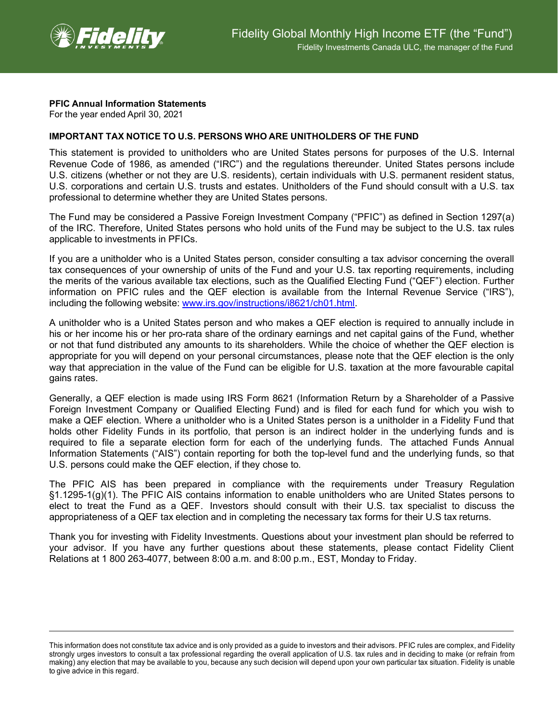

## **PFIC Annual Information Statements**

For the year ended April 30, 2021

## **IMPORTANT TAX NOTICE TO U.S. PERSONS WHO ARE UNITHOLDERS OF THE FUND**

This statement is provided to unitholders who are United States persons for purposes of the U.S. Internal Revenue Code of 1986, as amended ("IRC") and the regulations thereunder. United States persons include U.S. citizens (whether or not they are U.S. residents), certain individuals with U.S. permanent resident status, U.S. corporations and certain U.S. trusts and estates. Unitholders of the Fund should consult with a U.S. tax professional to determine whether they are United States persons.

The Fund may be considered a Passive Foreign Investment Company ("PFIC") as defined in Section 1297(a) of the IRC. Therefore, United States persons who hold units of the Fund may be subject to the U.S. tax rules applicable to investments in PFICs.

If you are a unitholder who is a United States person, consider consulting a tax advisor concerning the overall tax consequences of your ownership of units of the Fund and your U.S. tax reporting requirements, including the merits of the various available tax elections, such as the Qualified Electing Fund ("QEF") election. Further information on PFIC rules and the QEF election is available from the Internal Revenue Service ("IRS"), including the following website: [www.irs.gov/instructions/i8621/ch01.html.](http://www.irs.gov/instructions/i8621/ch01.html)

A unitholder who is a United States person and who makes a QEF election is required to annually include in his or her income his or her pro-rata share of the ordinary earnings and net capital gains of the Fund, whether or not that fund distributed any amounts to its shareholders. While the choice of whether the QEF election is appropriate for you will depend on your personal circumstances, please note that the QEF election is the only way that appreciation in the value of the Fund can be eligible for U.S. taxation at the more favourable capital gains rates.

Generally, a QEF election is made using IRS Form 8621 (Information Return by a Shareholder of a Passive Foreign Investment Company or Qualified Electing Fund) and is filed for each fund for which you wish to make a QEF election. Where a unitholder who is a United States person is a unitholder in a Fidelity Fund that holds other Fidelity Funds in its portfolio, that person is an indirect holder in the underlying funds and is required to file a separate election form for each of the underlying funds. The attached Funds Annual Information Statements ("AIS") contain reporting for both the top-level fund and the underlying funds, so that U.S. persons could make the QEF election, if they chose to.

The PFIC AIS has been prepared in compliance with the requirements under Treasury Regulation §1.1295-1(g)(1). The PFIC AIS contains information to enable unitholders who are United States persons to elect to treat the Fund as a QEF. Investors should consult with their U.S. tax specialist to discuss the appropriateness of a QEF tax election and in completing the necessary tax forms for their U.S tax returns.

Thank you for investing with Fidelity Investments. Questions about your investment plan should be referred to your advisor. If you have any further questions about these statements, please contact Fidelity Client Relations at 1 800 263-4077, between 8:00 a.m. and 8:00 p.m., EST, Monday to Friday.

This information does not constitute tax advice and is only provided as a guide to investors and their advisors. PFIC rules are complex, and Fidelity strongly urges investors to consult a tax professional regarding the overall application of U.S. tax rules and in deciding to make (or refrain from making) any election that may be available to you, because any such decision will depend upon your own particular tax situation. Fidelity is unable to give advice in this regard.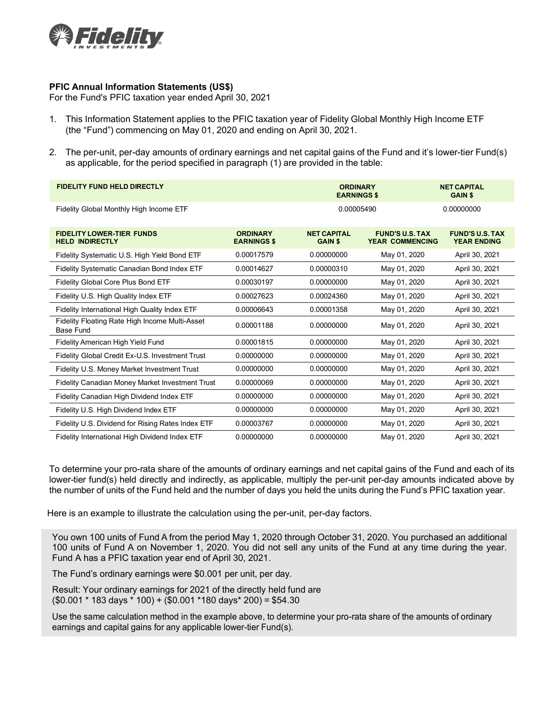

## **PFIC Annual Information Statements (US\$)**

For the Fund's PFIC taxation year ended April 30, 2021

- 1. This Information Statement applies to the PFIC taxation year of Fidelity Global Monthly High Income ETF (the "Fund") commencing on May 01, 2020 and ending on April 30, 2021.
- 2. The per-unit, per-day amounts of ordinary earnings and net capital gains of the Fund and it's lower-tier Fund(s) as applicable, for the period specified in paragraph (1) are provided in the table:

| <b>FIDELITY FUND HELD DIRECTLY</b>                          |                                       | <b>ORDINARY</b><br><b>EARNINGS \$</b> |                                                  | <b>NET CAPITAL</b><br><b>GAIN \$</b>         |
|-------------------------------------------------------------|---------------------------------------|---------------------------------------|--------------------------------------------------|----------------------------------------------|
| Fidelity Global Monthly High Income ETF                     |                                       | 0.00005490                            |                                                  | 0.00000000                                   |
| <b>FIDELITY LOWER-TIER FUNDS</b><br><b>HELD INDIRECTLY</b>  | <b>ORDINARY</b><br><b>EARNINGS \$</b> | <b>NET CAPITAL</b><br><b>GAIN \$</b>  | <b>FUND'S U.S. TAX</b><br><b>YEAR COMMENCING</b> | <b>FUND'S U.S. TAX</b><br><b>YEAR ENDING</b> |
| Fidelity Systematic U.S. High Yield Bond ETF                | 0.00017579                            | 0.00000000                            | May 01, 2020                                     | April 30, 2021                               |
| Fidelity Systematic Canadian Bond Index ETF                 | 0.00014627                            | 0.00000310                            | May 01, 2020                                     | April 30, 2021                               |
| Fidelity Global Core Plus Bond ETF                          | 0.00030197                            | 0.00000000                            | May 01, 2020                                     | April 30, 2021                               |
| Fidelity U.S. High Quality Index ETF                        | 0.00027623                            | 0.00024360                            | May 01, 2020                                     | April 30, 2021                               |
| Fidelity International High Quality Index ETF               | 0.00006643                            | 0.00001358                            | May 01, 2020                                     | April 30, 2021                               |
| Fidelity Floating Rate High Income Multi-Asset<br>Base Fund | 0.00001188                            | 0.00000000                            | May 01, 2020                                     | April 30, 2021                               |
| Fidelity American High Yield Fund                           | 0.00001815                            | 0.00000000                            | May 01, 2020                                     | April 30, 2021                               |
| Fidelity Global Credit Ex-U.S. Investment Trust             | 0.00000000                            | 0.00000000                            | May 01, 2020                                     | April 30, 2021                               |
| Fidelity U.S. Money Market Investment Trust                 | 0.00000000                            | 0.00000000                            | May 01, 2020                                     | April 30, 2021                               |
| Fidelity Canadian Money Market Investment Trust             | 0.00000069                            | 0.00000000                            | May 01, 2020                                     | April 30, 2021                               |
| Fidelity Canadian High Dividend Index ETF                   | 0.00000000                            | 0.00000000                            | May 01, 2020                                     | April 30, 2021                               |
| Fidelity U.S. High Dividend Index ETF                       | 0.00000000                            | 0.00000000                            | May 01, 2020                                     | April 30, 2021                               |
| Fidelity U.S. Dividend for Rising Rates Index ETF           | 0.00003767                            | 0.00000000                            | May 01, 2020                                     | April 30, 2021                               |
| Fidelity International High Dividend Index ETF              | 0.00000000                            | 0.00000000                            | May 01, 2020                                     | April 30, 2021                               |

To determine your pro-rata share of the amounts of ordinary earnings and net capital gains of the Fund and each of its lower-tier fund(s) held directly and indirectly, as applicable, multiply the per-unit per-day amounts indicated above by the number of units of the Fund held and the number of days you held the units during the Fund's PFIC taxation year.

Here is an example to illustrate the calculation using the per-unit, per-day factors.

You own 100 units of Fund A from the period May 1, 2020 through October 31, 2020. You purchased an additional 100 units of Fund A on November 1, 2020. You did not sell any units of the Fund at any time during the year. Fund A has a PFIC taxation year end of April 30, 2021.

The Fund's ordinary earnings were \$0.001 per unit, per day.

Result: Your ordinary earnings for 2021 of the directly held fund are (\$0.001 \* 183 days \* 100) + (\$0.001 \*180 days\* 200) = \$54.30

Use the same calculation method in the example above, to determine your pro-rata share of the amounts of ordinary earnings and capital gains for any applicable lower-tier Fund(s).